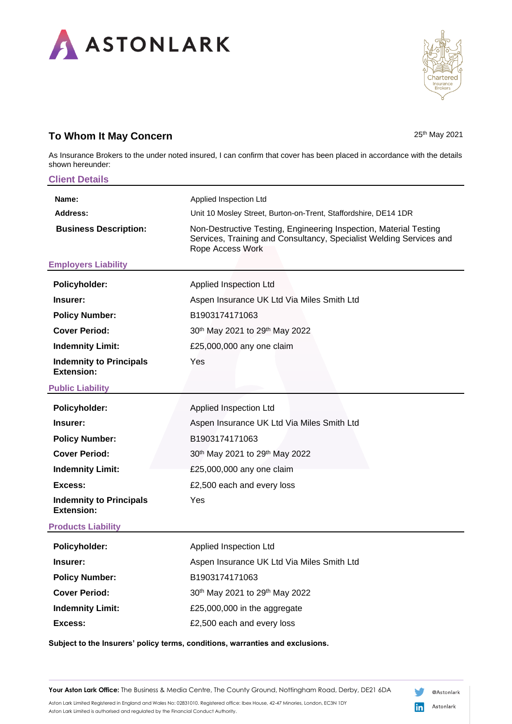

## **To Whom It May Concern** 25th May 2021

nartered

As Insurance Brokers to the under noted insured, I can confirm that cover has been placed in accordance with the details shown hereunder:

| <b>Client Details</b>                                                         |                                                                                                                                                              |
|-------------------------------------------------------------------------------|--------------------------------------------------------------------------------------------------------------------------------------------------------------|
| Name:                                                                         | Applied Inspection Ltd                                                                                                                                       |
| Address:                                                                      | Unit 10 Mosley Street, Burton-on-Trent, Staffordshire, DE14 1DR                                                                                              |
| <b>Business Description:</b>                                                  | Non-Destructive Testing, Engineering Inspection, Material Testing<br>Services, Training and Consultancy, Specialist Welding Services and<br>Rope Access Work |
| <b>Employers Liability</b>                                                    |                                                                                                                                                              |
| Policyholder:                                                                 | Applied Inspection Ltd                                                                                                                                       |
| Insurer:                                                                      | Aspen Insurance UK Ltd Via Miles Smith Ltd                                                                                                                   |
| <b>Policy Number:</b>                                                         | B1903174171063                                                                                                                                               |
| <b>Cover Period:</b>                                                          | 30th May 2021 to 29th May 2022                                                                                                                               |
| <b>Indemnity Limit:</b>                                                       | £25,000,000 any one claim                                                                                                                                    |
| <b>Indemnity to Principals</b><br>Extension:                                  | Yes                                                                                                                                                          |
| <b>Public Liability</b>                                                       |                                                                                                                                                              |
| Policyholder:                                                                 | Applied Inspection Ltd                                                                                                                                       |
| Insurer:                                                                      | Aspen Insurance UK Ltd Via Miles Smith Ltd                                                                                                                   |
| <b>Policy Number:</b>                                                         | B1903174171063                                                                                                                                               |
| <b>Cover Period:</b>                                                          | 30th May 2021 to 29th May 2022                                                                                                                               |
| <b>Indemnity Limit:</b>                                                       | £25,000,000 any one claim                                                                                                                                    |
| Excess:                                                                       | £2,500 each and every loss                                                                                                                                   |
| <b>Indemnity to Principals</b><br><b>Extension:</b>                           | Yes                                                                                                                                                          |
| <b>Products Liability</b>                                                     |                                                                                                                                                              |
| Policyholder:                                                                 | Applied Inspection Ltd                                                                                                                                       |
| Insurer:                                                                      | Aspen Insurance UK Ltd Via Miles Smith Ltd                                                                                                                   |
| <b>Policy Number:</b>                                                         | B1903174171063                                                                                                                                               |
| <b>Cover Period:</b>                                                          | 30th May 2021 to 29th May 2022                                                                                                                               |
| <b>Indemnity Limit:</b>                                                       | £25,000,000 in the aggregate                                                                                                                                 |
| Excess:                                                                       | £2,500 each and every loss                                                                                                                                   |
| Subject to the Insurers' policy terms, conditions, warranties and exclusions. |                                                                                                                                                              |

Your Aston Lark Office: The Business & Media Centre, The County Ground, Nottingham Road, Derby, DE21 6DA

Aston Lark Limited Registered in England and Wales No: 02831010. Registered office: Ibex House, 42-47 Minories, London, EC3N 1DY Aston Lark Limited is authorised and regulated by the Financial Conduct Authority.